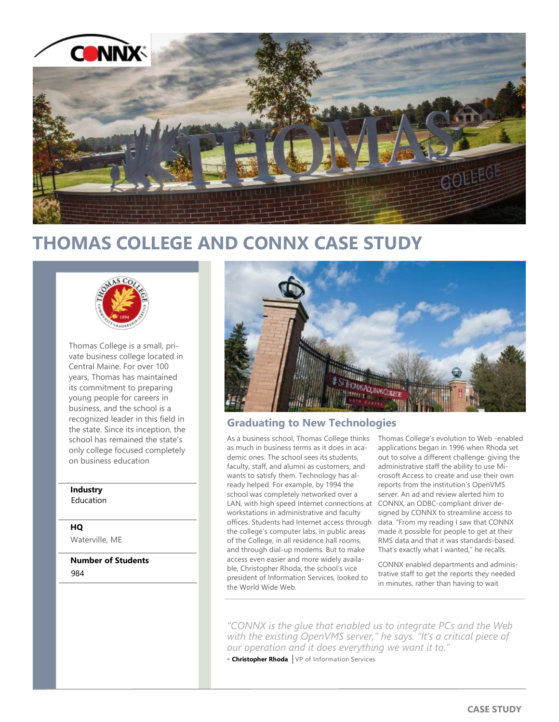

# **THOMAS COLLEGE AND CONNX CASE STUDY**



Thomas College is a small, private business college located in Central Maine. For over 100 years, Thomas has maintained its commitment to preparing young people for careers in business, and the school is a recognized leader in this field in the state. Since its inception, the school has remained the state's only college focused completely on business education

## **Industry** Education

# **HQ**

Waterville, ME

**Number of Students** 984



# **Graduating to New Technologies**

As a business school, Thomas College thinks as much in business terms as it does in academic ones. The school sees its students, faculty, staff, and alumni as customers, and wants to satisfy them. Technology has already helped. For example, by 1994 the school was completely networked over a LAN, with high speed Internet connections at workstations in administrative and faculty offices. Students had Internet access through the college's computer labs, in public areas of the College, in all residence hall rooms, and through dial-up modems. But to make access even easier and more widely available, Christopher Rhoda, the school's vice president of Information Services, looked to the World Wide Web.

Thomas College's evolution to Web -enabled applications began in 1996 when Rhoda set out to solve a different challenge: giving the administrative staff the ability to use Microsoft Access to create and use their own reports from the institution's OpenVMS server. An ad and review alerted him to CONNX, an ODBC-compliant driver designed by CONNX to streamline access to data. "From my reading I saw that CONNX made it possible for people to get at their RMS data and that it was standards-based. That's exactly what I wanted," he recalls.

CONNX enabled departments and administrative staff to get the reports they needed in minutes, rather than having to wait

*"CONNX is the glue that enabled us to integrate PCs and the Web with the existing OpenVMS server," he says. "It's a critical piece of our operation and it does everything we want it to."* 

- **Christopher Rhoda** VP of Information Services